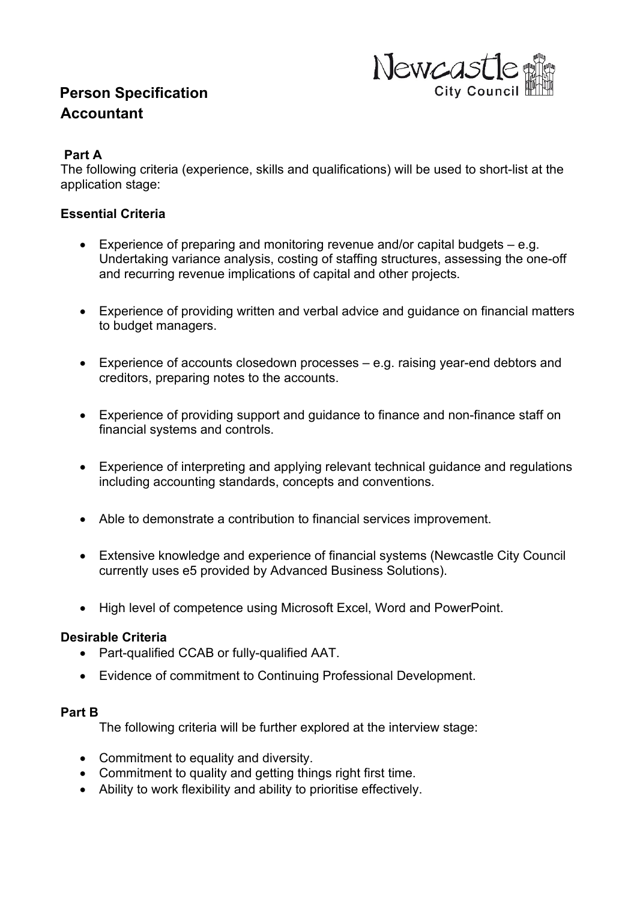# **Person Specification Accountant**



## **Part A**

The following criteria (experience, skills and qualifications) will be used to short-list at the application stage:

# **Essential Criteria**

- Experience of preparing and monitoring revenue and/or capital budgets e.g. Undertaking variance analysis, costing of staffing structures, assessing the one-off and recurring revenue implications of capital and other projects.
- Experience of providing written and verbal advice and guidance on financial matters to budget managers.
- Experience of accounts closedown processes e.g. raising year-end debtors and creditors, preparing notes to the accounts.
- Experience of providing support and guidance to finance and non-finance staff on financial systems and controls.
- Experience of interpreting and applying relevant technical guidance and regulations including accounting standards, concepts and conventions.
- Able to demonstrate a contribution to financial services improvement.
- Extensive knowledge and experience of financial systems (Newcastle City Council currently uses e5 provided by Advanced Business Solutions).
- High level of competence using Microsoft Excel, Word and PowerPoint.

### **Desirable Criteria**

- Part-qualified CCAB or fully-qualified AAT.
- Evidence of commitment to Continuing Professional Development.

#### **Part B**

The following criteria will be further explored at the interview stage:

- Commitment to equality and diversity.
- Commitment to quality and getting things right first time.
- Ability to work flexibility and ability to prioritise effectively.